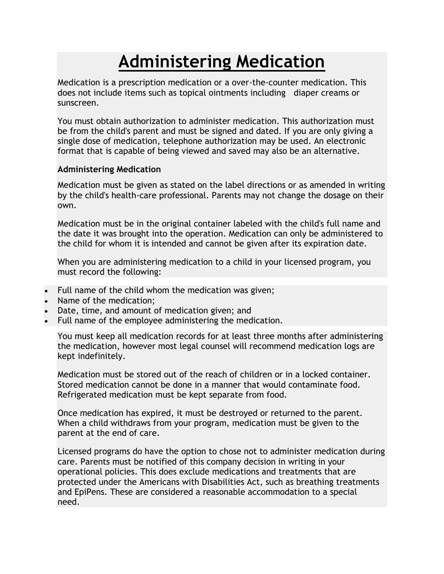## **Administering Medication**

Medication is a prescription medication or a over-the-counter medication. This does not include items such as topical ointments including diaper creams or sunscreen.

You must obtain authorization to administer medication. This authorization must be from the child's parent and must be signed and dated. If you are only giving a single dose of medication, telephone authorization may be used. An electronic format that is capable of being viewed and saved may also be an alternative.

## **Administering Medication**

Medication must be given as stated on the label directions or as amended in writing by the child's health-care professional. Parents may not change the dosage on their own.

Medication must be in the original container labeled with the child's full name and the date it was brought into the operation. Medication can only be administered to the child for whom it is intended and cannot be given after its expiration date.

When you are administering medication to a child in your licensed program, you must record the following:

- Full name of the child whom the medication was given;
- Name of the medication;
- Date, time, and amount of medication given; and
- Full name of the employee administering the medication.

You must keep all medication records for at least three months after administering the medication, however most legal counsel will recommend medication logs are kept indefinitely.

Medication must be stored out of the reach of children or in a locked container. Stored medication cannot be done in a manner that would contaminate food. Refrigerated medication must be kept separate from food.

Once medication has expired, it must be destroyed or returned to the parent. When a child withdraws from your program, medication must be given to the parent at the end of care.

Licensed programs do have the option to chose not to administer medication during care. Parents must be notified of this company decision in writing in your operational policies. This does exclude medications and treatments that are protected under the Americans with Disabilities Act, such as breathing treatments and EpiPens. These are considered a reasonable accommodation to a special need.